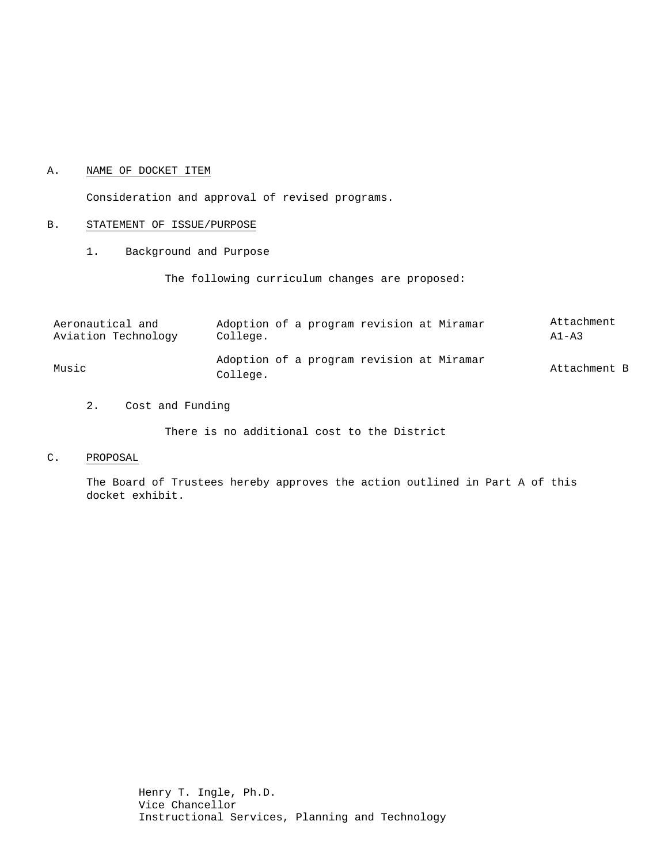#### A. NAME OF DOCKET ITEM

Consideration and approval of revised programs.

#### B. STATEMENT OF ISSUE/PURPOSE

1. Background and Purpose

The following curriculum changes are proposed:

| Aeronautical and    | Adoption of a program revision at Miramar             | Attachment   |
|---------------------|-------------------------------------------------------|--------------|
| Aviation Technology | College.                                              | $A1 - A3$    |
| Music               | Adoption of a program revision at Miramar<br>College. | Attachment B |

2. Cost and Funding

There is no additional cost to the District

C. PROPOSAL

The Board of Trustees hereby approves the action outlined in Part A of this docket exhibit.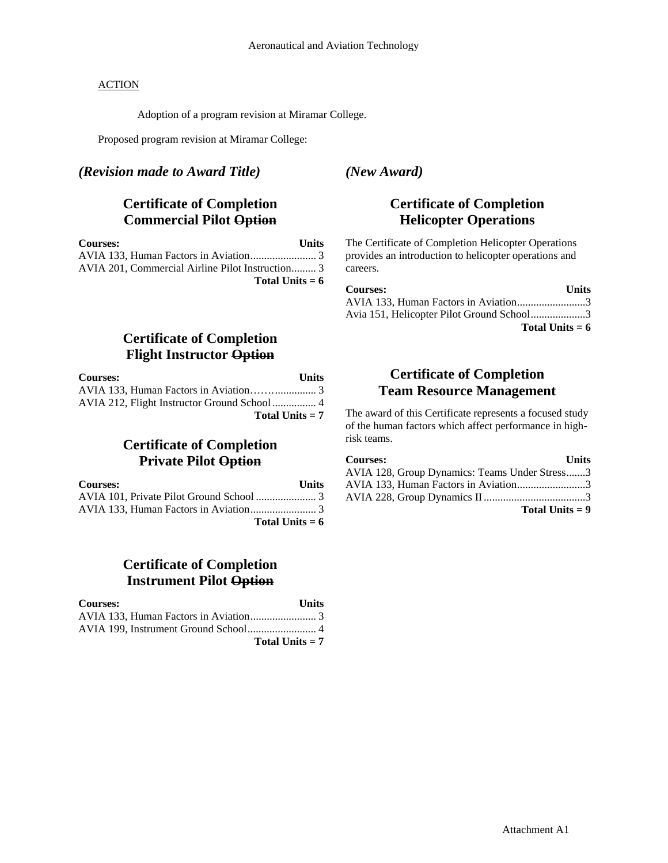#### **ACTION**

Adoption of a program revision at Miramar College.

Proposed program revision at Miramar College:

#### *(Revision made to Award Title)*

# **Certificate of Completion Commercial Pilot Option**

| <b>Courses:</b>                                  | Units |
|--------------------------------------------------|-------|
|                                                  |       |
| AVIA 201, Commercial Airline Pilot Instruction 3 |       |
| Total Units $= 6$                                |       |

### *(New Award)*

# **Certificate of Completion Helicopter Operations**

The Certificate of Completion Helicopter Operations provides an introduction to helicopter operations and careers.

| <b>Courses:</b>                           | <b>Units</b> |
|-------------------------------------------|--------------|
| AVIA 133, Human Factors in Aviation3      |              |
| Avia 151, Helicopter Pilot Ground School3 |              |

**Total Units = 6**

## **Certificate of Completion Flight Instructor Option**

| <b>Courses:</b>   | Units |
|-------------------|-------|
|                   |       |
|                   |       |
| Total Units $= 7$ |       |

# **Certificate of Completion Private Pilot Option**

| <b>Courses:</b>   | <b>Units</b> |
|-------------------|--------------|
|                   |              |
|                   |              |
| Total Units $= 6$ |              |

# **Certificate of Completion Instrument Pilot Option**

| <b>Courses:</b> | <b>Units</b>      |
|-----------------|-------------------|
|                 |                   |
|                 |                   |
|                 | Total Units $= 7$ |

## **Certificate of Completion Team Resource Management**

The award of this Certificate represents a focused study of the human factors which affect performance in highrisk teams.

| <b>Courses:</b>                               | <b>Units</b> |
|-----------------------------------------------|--------------|
| AVIA 128, Group Dynamics: Teams Under Stress3 |              |
| AVIA 133, Human Factors in Aviation3          |              |
|                                               |              |
| Total Units $= 9$                             |              |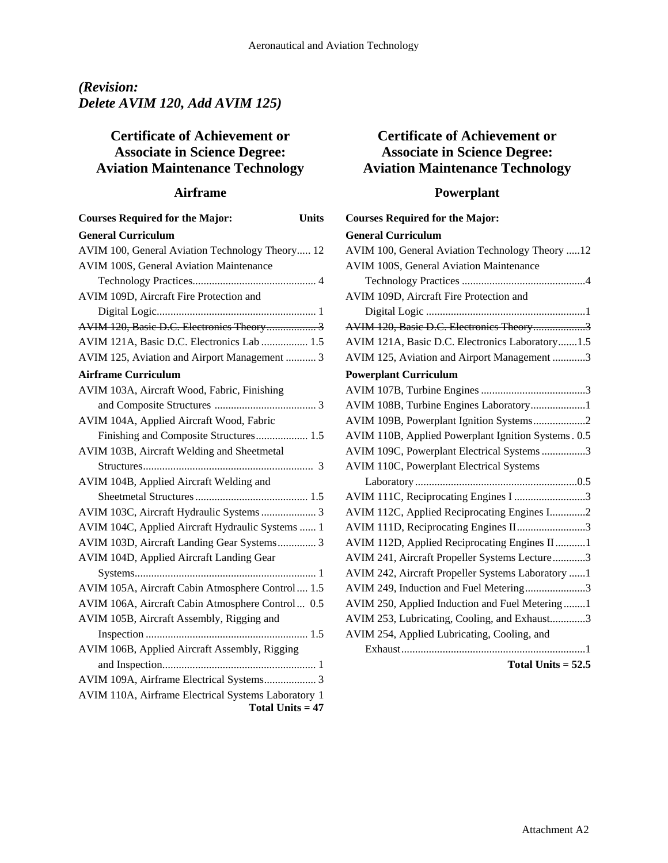# *(Revision: Delete AVIM 120, Add AVIM 125)*

# **Certificate of Achievement or Associate in Science Degree: Aviation Maintenance Technology**

### **Airframe**

| <b>General Curriculum</b><br>AVIM 100, General Aviation Technology Theory 12<br>AVIM 100S, General Aviation Maintenance |
|-------------------------------------------------------------------------------------------------------------------------|
|                                                                                                                         |
|                                                                                                                         |
|                                                                                                                         |
|                                                                                                                         |
| AVIM 109D, Aircraft Fire Protection and                                                                                 |
|                                                                                                                         |
| AVIM 120, Basic D.C. Electronics Theory 3                                                                               |
| AVIM 121A, Basic D.C. Electronics Lab  1.5                                                                              |
| AVIM 125, Aviation and Airport Management  3                                                                            |
| <b>Airframe Curriculum</b>                                                                                              |
| AVIM 103A, Aircraft Wood, Fabric, Finishing                                                                             |
|                                                                                                                         |
| AVIM 104A, Applied Aircraft Wood, Fabric                                                                                |
| Finishing and Composite Structures 1.5                                                                                  |
| AVIM 103B, Aircraft Welding and Sheetmetal                                                                              |
|                                                                                                                         |
| AVIM 104B, Applied Aircraft Welding and                                                                                 |
|                                                                                                                         |
| AVIM 103C, Aircraft Hydraulic Systems  3                                                                                |
| AVIM 104C, Applied Aircraft Hydraulic Systems  1                                                                        |
| AVIM 103D, Aircraft Landing Gear Systems 3                                                                              |
| AVIM 104D, Applied Aircraft Landing Gear                                                                                |
|                                                                                                                         |
| AVIM 105A, Aircraft Cabin Atmosphere Control 1.5                                                                        |
| AVIM 106A, Aircraft Cabin Atmosphere Control 0.5                                                                        |
| AVIM 105B, Aircraft Assembly, Rigging and                                                                               |
| 1.5                                                                                                                     |
| AVIM 106B, Applied Aircraft Assembly, Rigging                                                                           |
|                                                                                                                         |
| AVIM 109A, Airframe Electrical Systems 3                                                                                |
| AVIM 110A, Airframe Electrical Systems Laboratory 1<br>Total Units $= 47$                                               |

# **Certificate of Achievement or Associate in Science Degree: Aviation Maintenance Technology**

# **Powerplant**

| <b>Courses Required for the Major:</b>              |
|-----------------------------------------------------|
| <b>General Curriculum</b>                           |
| AVIM 100, General Aviation Technology Theory 12     |
| AVIM 100S, General Aviation Maintenance             |
|                                                     |
| AVIM 109D, Aircraft Fire Protection and             |
|                                                     |
| AVIM 120, Basic D.C. Electronics Theory3            |
| AVIM 121A, Basic D.C. Electronics Laboratory1.5     |
| AVIM 125, Aviation and Airport Management 3         |
| <b>Powerplant Curriculum</b>                        |
|                                                     |
| AVIM 108B, Turbine Engines Laboratory1              |
| AVIM 109B, Powerplant Ignition Systems2             |
| AVIM 110B, Applied Powerplant Ignition Systems. 0.5 |
| AVIM 109C, Powerplant Electrical Systems 3          |
| AVIM 110C, Powerplant Electrical Systems            |
|                                                     |
| AVIM 111C, Reciprocating Engines I 3                |
| AVIM 112C, Applied Reciprocating Engines I2         |
| AVIM 111D, Reciprocating Engines II3                |
| AVIM 112D, Applied Reciprocating Engines II1        |
| AVIM 241, Aircraft Propeller Systems Lecture3       |
| AVIM 242, Aircraft Propeller Systems Laboratory 1   |
| AVIM 249, Induction and Fuel Metering3              |
| AVIM 250, Applied Induction and Fuel Metering1      |
| AVIM 253, Lubricating, Cooling, and Exhaust3        |
| AVIM 254, Applied Lubricating, Cooling, and         |
|                                                     |

#### **Total Units = 52.5**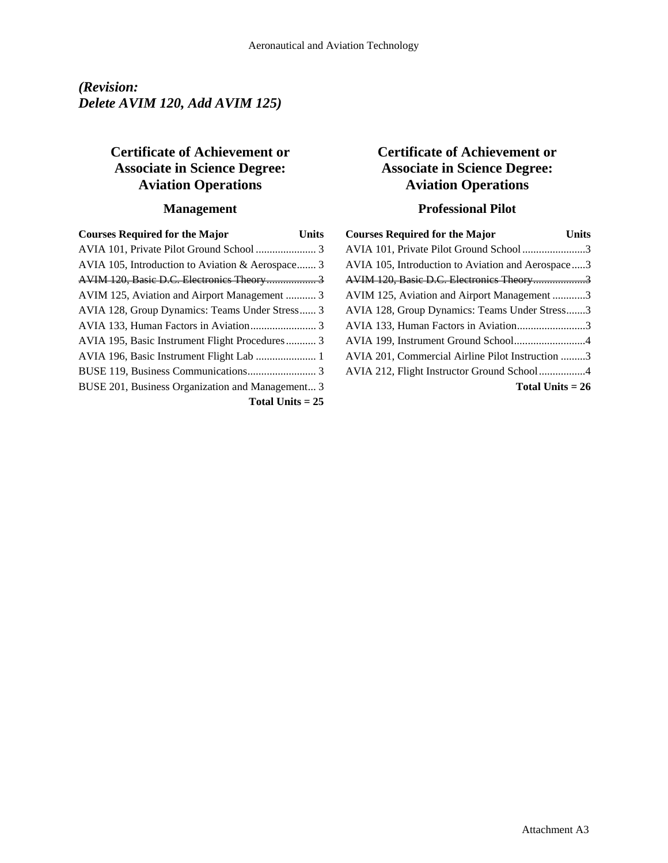# *(Revision: Delete AVIM 120, Add AVIM 125)*

# **Certificate of Achievement or Associate in Science Degree: Aviation Operations**

# **Management**

| <b>Courses Required for the Major</b>            | Units |
|--------------------------------------------------|-------|
|                                                  |       |
| AVIA 105, Introduction to Aviation & Aerospace 3 |       |
|                                                  |       |
| AVIM 125, Aviation and Airport Management  3     |       |
| AVIA 128, Group Dynamics: Teams Under Stress 3   |       |
|                                                  |       |
| AVIA 195, Basic Instrument Flight Procedures 3   |       |
|                                                  |       |
|                                                  |       |
| BUSE 201, Business Organization and Management 3 |       |
| Total Units $= 25$                               |       |

# **Certificate of Achievement or Associate in Science Degree: Aviation Operations**

## **Professional Pilot**

| <b>Courses Required for the Major</b>             | Units |
|---------------------------------------------------|-------|
| AVIA 101, Private Pilot Ground School 3           |       |
| AVIA 105, Introduction to Aviation and Aerospace3 |       |
| AVIM 120, Basic D.C. Electronics Theory3          |       |
| AVIM 125, Aviation and Airport Management 3       |       |
| AVIA 128, Group Dynamics: Teams Under Stress3     |       |
| AVIA 133, Human Factors in Aviation3              |       |
| AVIA 199, Instrument Ground School4               |       |
| AVIA 201, Commercial Airline Pilot Instruction 3  |       |
|                                                   |       |
| Total Units $= 26$                                |       |